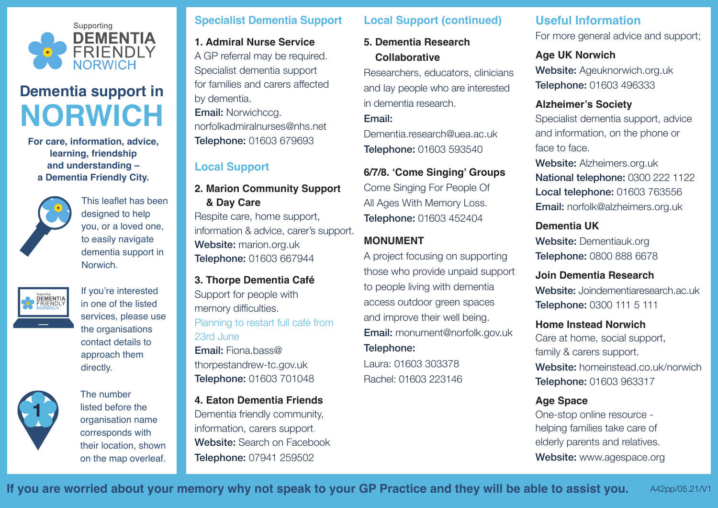

# **Dementia support in NORWICH**

**For care, information, advice, learning, friendship and understanding – a Dementia Friendly City.**



This leaflet has been designed to help you, or a loved one, to easily navigate dementia support in **Norwich** 



If you're interested in one of the listed services, please use the organisations contact details to approach them directly.



The number listed before the organisation name corresponds with their location, shown on the map overleaf.

#### **Specialist Dementia Support**

**1. Admiral Nurse Service** A GP referral may be required. Specialist dementia support for families and carers affected by dementia. **Email: Norwichccg.** norfolkadmiralnurses@nhs.net Telephone: 01603 679693

# **Local Support**

**2. Marion Community Support & Day Care**

Respite care, home support, information & advice, carer's support. Website: marion.org.uk Telephone: 01603 667944

**3. Thorpe Dementia Café**  Support for people with memory difficulties. Planning to restart full café from 23rd June Email: Fiona.bass@ thorpestandrew-tc.gov.uk Telephone: 01603 701048

**4. Eaton Dementia Friends**  Dementia friendly community, information, carers support. Website: Search on Facebook Telephone: 07941 259502

#### **Local Support (continued)**

**5. Dementia Research Collaborative** 

Researchers, educators, clinicians and lay people who are interested in dementia research.

Email:

Dementia.research@uea.ac.uk Telephone: 01603 593540

#### **6/7/8. 'Come Singing' Groups**

Come Singing For People Of All Ages With Memory Loss. Telephone: 01603 452404

### **MONUMENT**

A project focusing on supporting those who provide unpaid support to people living with dementia access outdoor green spaces and improve their well being. Email: monument@norfolk.gov.uk Telephone:

Laura: 01603 303378 Rachel: 01603 223146

# **Useful Information**

For more general advice and support;

#### **Age UK Norwich**

Website: Ageuknorwich.org.uk Telephone: 01603 496333

#### **Alzheimer's Society**

Specialist dementia support, advice and information, on the phone or face to face.

Website: Alzheimers.org.uk National telephone: 0300 222 1122 Local telephone: 01603 763556 Email: norfolk@alzheimers.org.uk

# **Dementia UK**

Website: Dementiauk.org Telephone: 0800 888 6678

# **Join Dementia Research**

Website: Joindementiaresearch.ac.uk Telephone: 0300 111 5 111

#### **Home Instead Norwich**

Care at home, social support, family & carers support. Website: homeinstead.co.uk/norwich Telephone: 01603 963317

#### **Age Space**

One-stop online resource helping families take care of elderly parents and relatives. Website: www.agespace.org